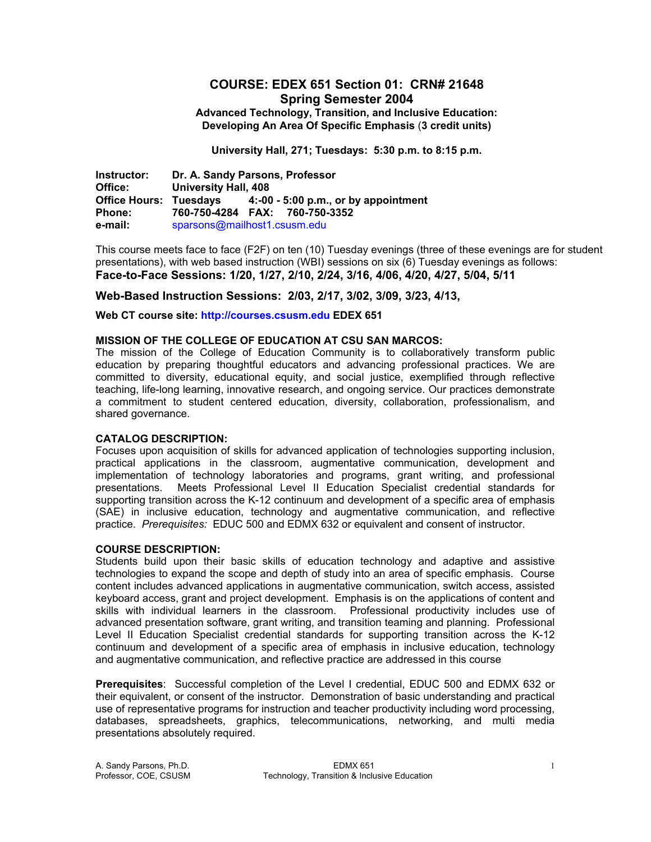# **COURSE: EDEX 651 Section 01: CRN# 21648 Spring Semester 2004**

**Advanced Technology, Transition, and Inclusive Education: Developing An Area Of Specific Emphasis** (**3 credit units)** 

**University Hall, 271; Tuesdays: 5:30 p.m. to 8:15 p.m.** 

**Instructor: Dr. A. Sandy Parsons, Professor University Hall, 408 Office Hours: Tuesdays 4:-00 - 5:00 p.m., or by appointment Phone: 760-750-4284 FAX: 760-750-3352 e-mail:** sparsons@mailhost1.csusm.edu

This course meets face to face (F2F) on ten (10) Tuesday evenings (three of these evenings are for student presentations), with web based instruction (WBI) sessions on six (6) Tuesday evenings as follows: **Face-to-Face Sessions: 1/20, 1/27, 2/10, 2/24, 3/16, 4/06, 4/20, 4/27, 5/04, 5/11** 

#### **Web-Based Instruction Sessions: 2/03, 2/17, 3/02, 3/09, 3/23, 4/13,**

**Web CT course site: http://courses.csusm.edu EDEX 651** 

#### **MISSION OF THE COLLEGE OF EDUCATION AT CSU SAN MARCOS:**

The mission of the College of Education Community is to collaboratively transform public education by preparing thoughtful educators and advancing professional practices. We are committed to diversity, educational equity, and social justice, exemplified through reflective teaching, life-long learning, innovative research, and ongoing service. Our practices demonstrate a commitment to student centered education, diversity, collaboration, professionalism, and shared governance.

#### **CATALOG DESCRIPTION:**

Focuses upon acquisition of skills for advanced application of technologies supporting inclusion, practical applications in the classroom, augmentative communication, development and implementation of technology laboratories and programs, grant writing, and professional presentations. Meets Professional Level II Education Specialist credential standards for supporting transition across the K-12 continuum and development of a specific area of emphasis (SAE) in inclusive education, technology and augmentative communication, and reflective practice. *Prerequisites:* EDUC 500 and EDMX 632 or equivalent and consent of instructor.

#### **COURSE DESCRIPTION:**

Students build upon their basic skills of education technology and adaptive and assistive technologies to expand the scope and depth of study into an area of specific emphasis. Course content includes advanced applications in augmentative communication, switch access, assisted keyboard access, grant and project development. Emphasis is on the applications of content and skills with individual learners in the classroom. Professional productivity includes use of advanced presentation software, grant writing, and transition teaming and planning. Professional Level II Education Specialist credential standards for supporting transition across the K-12 continuum and development of a specific area of emphasis in inclusive education, technology and augmentative communication, and reflective practice are addressed in this course

**Prerequisites**: Successful completion of the Level I credential, EDUC 500 and EDMX 632 or their equivalent, or consent of the instructor. Demonstration of basic understanding and practical use of representative programs for instruction and teacher productivity including word processing, databases, spreadsheets, graphics, telecommunications, networking, and multi media presentations absolutely required.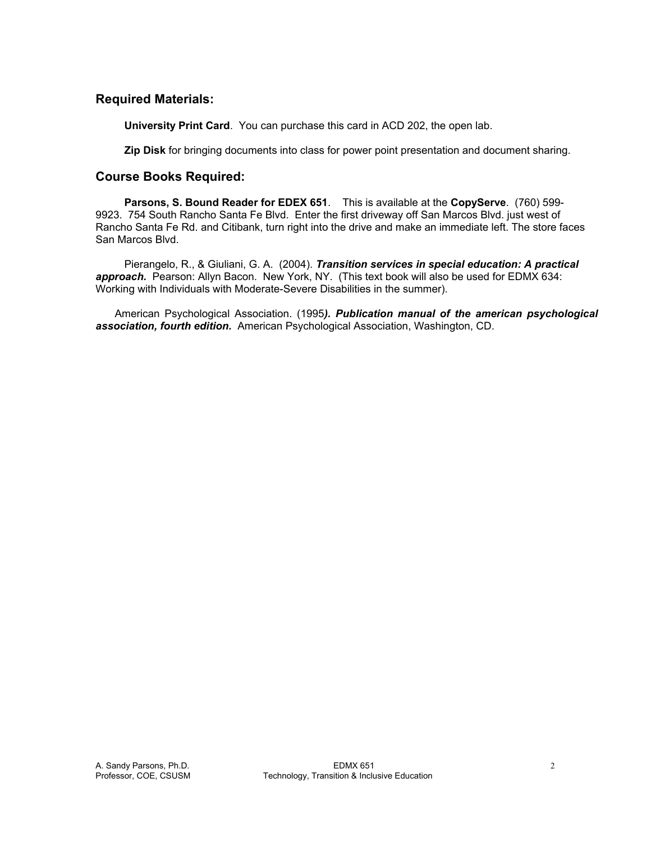## **Required Materials:**

**University Print Card**. You can purchase this card in ACD 202, the open lab.

**Zip Disk** for bringing documents into class for power point presentation and document sharing.

### **Course Books Required:**

**Parsons, S. Bound Reader for EDEX 651**. This is available at the **CopyServe**. (760) 599- 9923. 754 South Rancho Santa Fe Blvd. Enter the first driveway off San Marcos Blvd. just west of Rancho Santa Fe Rd. and Citibank, turn right into the drive and make an immediate left. The store faces San Marcos Blvd.

 Pierangelo, R., & Giuliani, G. A. (2004). *Transition services in special education: A practical*  approach. Pearson: Allyn Bacon. New York, NY. (This text book will also be used for EDMX 634: Working with Individuals with Moderate-Severe Disabilities in the summer).

 American Psychological Association. (1995*). Publication manual of the american psychological association, fourth edition.* American Psychological Association, Washington, CD.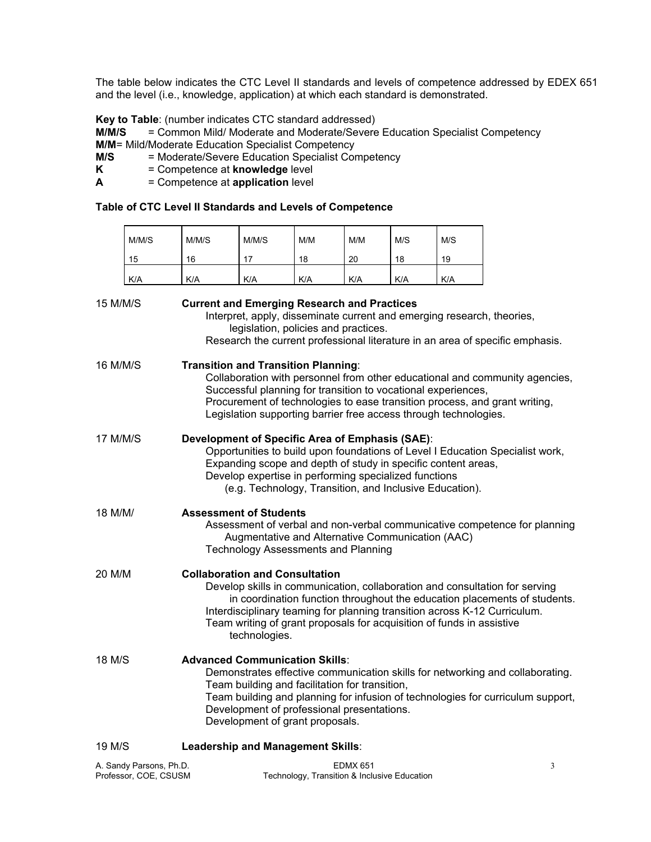The table below indicates the CTC Level II standards and levels of competence addressed by EDEX 651 and the level (i.e., knowledge, application) at which each standard is demonstrated.

**Key to Table**: (number indicates CTC standard addressed)

**M/M/S** = Common Mild/ Moderate and Moderate/Severe Education Specialist Competency **M/M**= Mild/Moderate Education Specialist Competency

**M/S** = Moderate/Severe Education Specialist Competency<br>**K** = Competence at **knowledge** level

- **F** Competence at **knowledge** level
- **A** = Competence at **application** level

 $\overline{a}$ 

#### **Table of CTC Level II Standards and Levels of Competence**

|                                                  | M/M/S                                                                                                                                                                                                                                                                                                                                        | M/M/S                                                                                                                                                                                                                                                                                                                                                                    | M/M/S                                                                                                          | M/M                                          | M/M             | M/S | M/S |                                                                               |
|--------------------------------------------------|----------------------------------------------------------------------------------------------------------------------------------------------------------------------------------------------------------------------------------------------------------------------------------------------------------------------------------------------|--------------------------------------------------------------------------------------------------------------------------------------------------------------------------------------------------------------------------------------------------------------------------------------------------------------------------------------------------------------------------|----------------------------------------------------------------------------------------------------------------|----------------------------------------------|-----------------|-----|-----|-------------------------------------------------------------------------------|
|                                                  | 15                                                                                                                                                                                                                                                                                                                                           | 16                                                                                                                                                                                                                                                                                                                                                                       | 17                                                                                                             | 18                                           | 20              | 18  | 19  |                                                                               |
|                                                  | K/A                                                                                                                                                                                                                                                                                                                                          | K/A                                                                                                                                                                                                                                                                                                                                                                      | K/A                                                                                                            | K/A                                          | K/A             | K/A | K/A |                                                                               |
| 15 M/M/S                                         |                                                                                                                                                                                                                                                                                                                                              | <b>Current and Emerging Research and Practices</b>                                                                                                                                                                                                                                                                                                                       | Interpret, apply, disseminate current and emerging research, theories,<br>legislation, policies and practices. |                                              |                 |     |     | Research the current professional literature in an area of specific emphasis. |
| 16 M/M/S                                         |                                                                                                                                                                                                                                                                                                                                              | <b>Transition and Transition Planning:</b><br>Collaboration with personnel from other educational and community agencies,<br>Successful planning for transition to vocational experiences,<br>Procurement of technologies to ease transition process, and grant writing,<br>Legislation supporting barrier free access through technologies.                             |                                                                                                                |                                              |                 |     |     |                                                                               |
| 17 M/M/S                                         |                                                                                                                                                                                                                                                                                                                                              | Development of Specific Area of Emphasis (SAE):<br>Opportunities to build upon foundations of Level I Education Specialist work,<br>Expanding scope and depth of study in specific content areas,<br>Develop expertise in performing specialized functions<br>(e.g. Technology, Transition, and Inclusive Education).                                                    |                                                                                                                |                                              |                 |     |     |                                                                               |
| 18 M/M/                                          |                                                                                                                                                                                                                                                                                                                                              | <b>Assessment of Students</b><br>Assessment of verbal and non-verbal communicative competence for planning<br>Augmentative and Alternative Communication (AAC)<br><b>Technology Assessments and Planning</b>                                                                                                                                                             |                                                                                                                |                                              |                 |     |     |                                                                               |
| 20 M/M                                           |                                                                                                                                                                                                                                                                                                                                              | <b>Collaboration and Consultation</b><br>Develop skills in communication, collaboration and consultation for serving<br>in coordination function throughout the education placements of students.<br>Interdisciplinary teaming for planning transition across K-12 Curriculum.<br>Team writing of grant proposals for acquisition of funds in assistive<br>technologies. |                                                                                                                |                                              |                 |     |     |                                                                               |
| 18 M/S                                           | <b>Advanced Communication Skills:</b><br>Demonstrates effective communication skills for networking and collaborating.<br>Team building and facilitation for transition,<br>Team building and planning for infusion of technologies for curriculum support,<br>Development of professional presentations.<br>Development of grant proposals. |                                                                                                                                                                                                                                                                                                                                                                          |                                                                                                                |                                              |                 |     |     |                                                                               |
| 19 M/S                                           |                                                                                                                                                                                                                                                                                                                                              | Leadership and Management Skills:                                                                                                                                                                                                                                                                                                                                        |                                                                                                                |                                              |                 |     |     |                                                                               |
| A. Sandy Parsons, Ph.D.<br>Professor, COE, CSUSM |                                                                                                                                                                                                                                                                                                                                              |                                                                                                                                                                                                                                                                                                                                                                          |                                                                                                                | Technology, Transition & Inclusive Education | <b>EDMX 651</b> |     |     | 3                                                                             |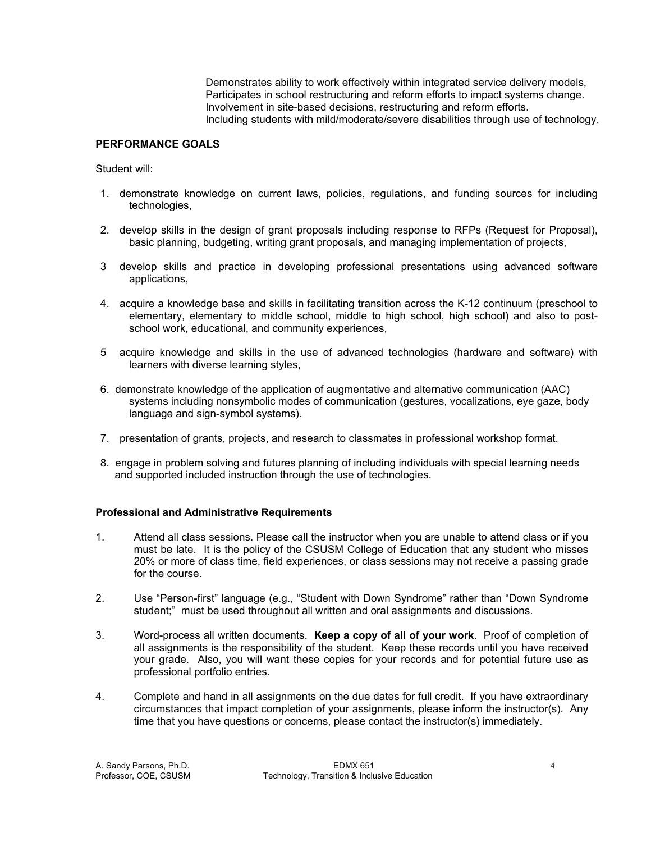Demonstrates ability to work effectively within integrated service delivery models, Participates in school restructuring and reform efforts to impact systems change. Involvement in site-based decisions, restructuring and reform efforts. Including students with mild/moderate/severe disabilities through use of technology.

### **PERFORMANCE GOALS**

Student will:

- 1. demonstrate knowledge on current laws, policies, regulations, and funding sources for including technologies,
- 2. develop skills in the design of grant proposals including response to RFPs (Request for Proposal), basic planning, budgeting, writing grant proposals, and managing implementation of projects,
- 3 develop skills and practice in developing professional presentations using advanced software applications,
- 4. acquire a knowledge base and skills in facilitating transition across the K-12 continuum (preschool to elementary, elementary to middle school, middle to high school, high school) and also to postschool work, educational, and community experiences,
- 5 acquire knowledge and skills in the use of advanced technologies (hardware and software) with learners with diverse learning styles,
- 6. demonstrate knowledge of the application of augmentative and alternative communication (AAC) systems including nonsymbolic modes of communication (gestures, vocalizations, eye gaze, body language and sign-symbol systems).
- 7. presentation of grants, projects, and research to classmates in professional workshop format.
- 8. engage in problem solving and futures planning of including individuals with special learning needs and supported included instruction through the use of technologies.

### **Professional and Administrative Requirements**

- 1. Attend all class sessions. Please call the instructor when you are unable to attend class or if you must be late. It is the policy of the CSUSM College of Education that any student who misses 20% or more of class time, field experiences, or class sessions may not receive a passing grade for the course.
- 2. Use "Person-first" language (e.g., "Student with Down Syndrome" rather than "Down Syndrome student;" must be used throughout all written and oral assignments and discussions.
- 3. Word-process all written documents. **Keep a copy of all of your work**. Proof of completion of all assignments is the responsibility of the student. Keep these records until you have received your grade. Also, you will want these copies for your records and for potential future use as professional portfolio entries.
- 4. Complete and hand in all assignments on the due dates for full credit. If you have extraordinary circumstances that impact completion of your assignments, please inform the instructor(s). Any time that you have questions or concerns, please contact the instructor(s) immediately.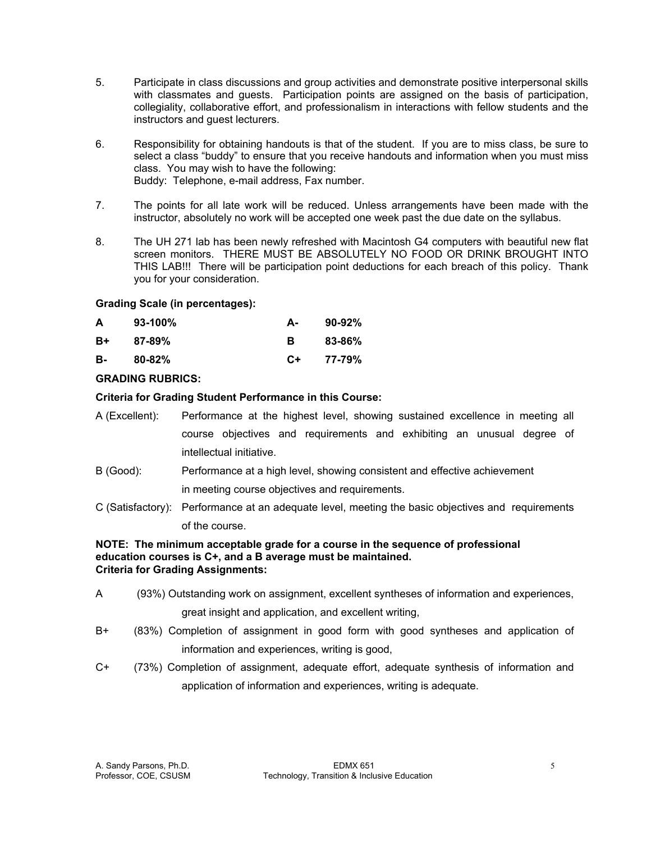- 5. Participate in class discussions and group activities and demonstrate positive interpersonal skills with classmates and guests. Participation points are assigned on the basis of participation, collegiality, collaborative effort, and professionalism in interactions with fellow students and the instructors and guest lecturers.
- 6. Responsibility for obtaining handouts is that of the student. If you are to miss class, be sure to select a class "buddy" to ensure that you receive handouts and information when you must miss class. You may wish to have the following: Buddy: Telephone, e-mail address, Fax number.
- 7. The points for all late work will be reduced. Unless arrangements have been made with the instructor, absolutely no work will be accepted one week past the due date on the syllabus.
- 8. The UH 271 lab has been newly refreshed with Macintosh G4 computers with beautiful new flat screen monitors. THERE MUST BE ABSOLUTELY NO FOOD OR DRINK BROUGHT INTO THIS LAB!!! There will be participation point deductions for each breach of this policy. Thank you for your consideration.

### **Grading Scale (in percentages):**

| A  | $93-100\%$ | А- | $90-92%$ |
|----|------------|----|----------|
| B+ | 87-89%     | в  | 83-86%   |
| в- | $80 - 82%$ | C+ | 77-79%   |

## **GRADING RUBRICS:**

### **Criteria for Grading Student Performance in this Course:**

- A (Excellent): Performance at the highest level, showing sustained excellence in meeting all course objectives and requirements and exhibiting an unusual degree of intellectual initiative.
- B (Good): Performance at a high level, showing consistent and effective achievement in meeting course objectives and requirements.
- C (Satisfactory): Performance at an adequate level, meeting the basic objectives and requirements of the course.

### **NOTE: The minimum acceptable grade for a course in the sequence of professional education courses is C+, and a B average must be maintained. Criteria for Grading Assignments:**

- A (93%) Outstanding work on assignment, excellent syntheses of information and experiences, great insight and application, and excellent writing,
- B+ (83%) Completion of assignment in good form with good syntheses and application of information and experiences, writing is good,
- C+ (73%) Completion of assignment, adequate effort, adequate synthesis of information and application of information and experiences, writing is adequate.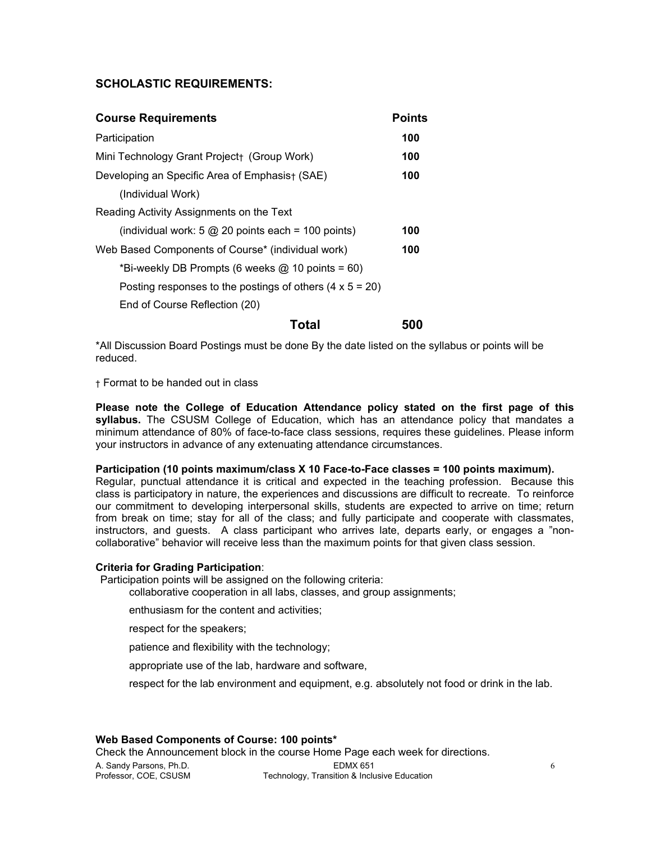## **SCHOLASTIC REQUIREMENTS:**

| <b>Course Requirements</b>                                         | <b>Points</b> |
|--------------------------------------------------------------------|---------------|
| Participation                                                      | 100           |
| Mini Technology Grant Project+ (Group Work)                        | 100           |
| Developing an Specific Area of Emphasis + (SAE)                    | 100           |
| (Individual Work)                                                  |               |
| Reading Activity Assignments on the Text                           |               |
| (individual work: $5 \textcircled{2} 20$ points each = 100 points) | 100           |
| Web Based Components of Course* (individual work)                  | 100           |
| *Bi-weekly DB Prompts (6 weeks $@$ 10 points = 60)                 |               |
| Posting responses to the postings of others $(4 \times 5 = 20)$    |               |
| End of Course Reflection (20)                                      |               |
| Total                                                              | 500           |

\*All Discussion Board Postings must be done By the date listed on the syllabus or points will be reduced.

† Format to be handed out in class

**Please note the College of Education Attendance policy stated on the first page of this syllabus.** The CSUSM College of Education, which has an attendance policy that mandates a minimum attendance of 80% of face-to-face class sessions, requires these guidelines. Please inform your instructors in advance of any extenuating attendance circumstances.

#### **Participation (10 points maximum/class X 10 Face-to-Face classes = 100 points maximum).**

Regular, punctual attendance it is critical and expected in the teaching profession. Because this class is participatory in nature, the experiences and discussions are difficult to recreate. To reinforce our commitment to developing interpersonal skills, students are expected to arrive on time; return from break on time; stay for all of the class; and fully participate and cooperate with classmates, instructors, and guests. A class participant who arrives late, departs early, or engages a "noncollaborative" behavior will receive less than the maximum points for that given class session.

#### **Criteria for Grading Participation**:

Participation points will be assigned on the following criteria:

collaborative cooperation in all labs, classes, and group assignments;

enthusiasm for the content and activities;

respect for the speakers;

patience and flexibility with the technology;

appropriate use of the lab, hardware and software,

respect for the lab environment and equipment, e.g. absolutely not food or drink in the lab.

### **Web Based Components of Course: 100 points\***

A. Sandy Parsons, Ph.D. EDMX 651 6 Technology, Transition & Inclusive Education Check the Announcement block in the course Home Page each week for directions.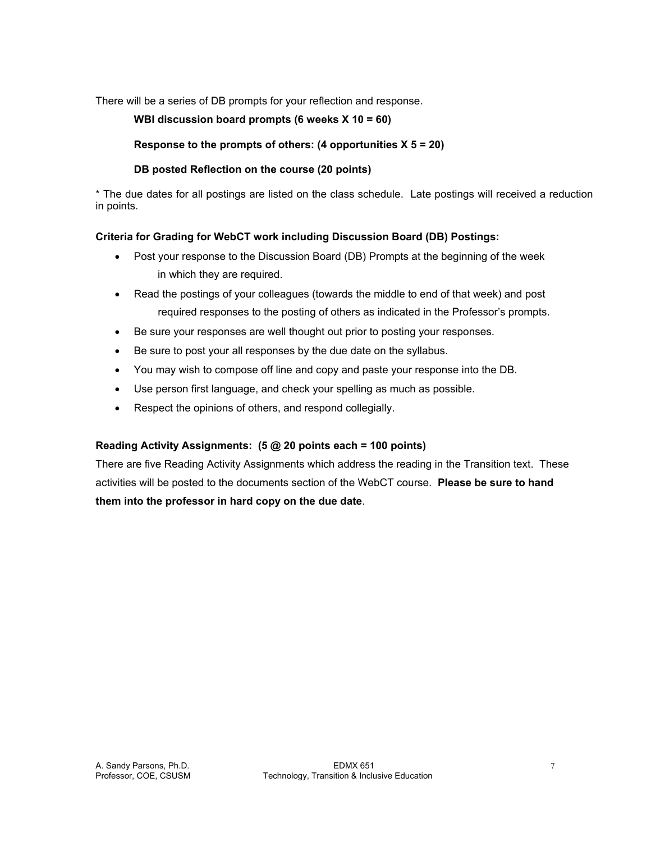There will be a series of DB prompts for your reflection and response.

 **WBI discussion board prompts (6 weeks X 10 = 60)** 

 **Response to the prompts of others: (4 opportunities X 5 = 20)** 

## **DB posted Reflection on the course (20 points)**

\* The due dates for all postings are listed on the class schedule. Late postings will received a reduction in points.

### **Criteria for Grading for WebCT work including Discussion Board (DB) Postings:**

- Post your response to the Discussion Board (DB) Prompts at the beginning of the week in which they are required.
- Read the postings of your colleagues (towards the middle to end of that week) and post required responses to the posting of others as indicated in the Professor's prompts.
- Be sure your responses are well thought out prior to posting your responses.
- Be sure to post your all responses by the due date on the syllabus.
- You may wish to compose off line and copy and paste your response into the DB.
- Use person first language, and check your spelling as much as possible.
- Respect the opinions of others, and respond collegially.

## **Reading Activity Assignments: (5 @ 20 points each = 100 points)**

There are five Reading Activity Assignments which address the reading in the Transition text. These activities will be posted to the documents section of the WebCT course. **Please be sure to hand them into the professor in hard copy on the due date**.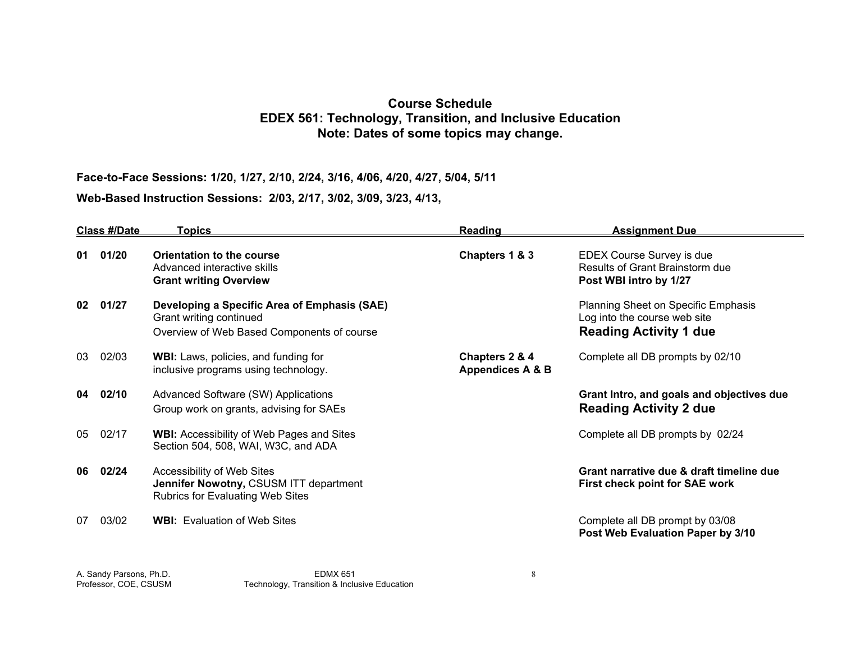# **Course Schedule EDEX 561: Technology, Transition, and Inclusive Education Note: Dates of some topics may change.**

**Face-to-Face Sessions: 1/20, 1/27, 2/10, 2/24, 3/16, 4/06, 4/20, 4/27, 5/04, 5/11** 

**Web-Based Instruction Sessions: 2/03, 2/17, 3/02, 3/09, 3/23, 4/13,** 

| <b>Class #/Date</b> |       | Topics                                                                                                                | Reading                                       | <b>Assignment Due</b>                                                                                |  |
|---------------------|-------|-----------------------------------------------------------------------------------------------------------------------|-----------------------------------------------|------------------------------------------------------------------------------------------------------|--|
| 01                  | 01/20 | Orientation to the course<br>Advanced interactive skills<br><b>Grant writing Overview</b>                             | Chapters 1 & 3                                | EDEX Course Survey is due<br>Results of Grant Brainstorm due<br>Post WBI intro by 1/27               |  |
| 02                  | 01/27 | Developing a Specific Area of Emphasis (SAE)<br>Grant writing continued<br>Overview of Web Based Components of course |                                               | Planning Sheet on Specific Emphasis<br>Log into the course web site<br><b>Reading Activity 1 due</b> |  |
| 03                  | 02/03 | WBI: Laws, policies, and funding for<br>inclusive programs using technology.                                          | Chapters 2 & 4<br><b>Appendices A &amp; B</b> | Complete all DB prompts by 02/10                                                                     |  |
| 04                  | 02/10 | Advanced Software (SW) Applications<br>Group work on grants, advising for SAEs                                        |                                               | Grant Intro, and goals and objectives due<br><b>Reading Activity 2 due</b>                           |  |
| 05                  | 02/17 | <b>WBI:</b> Accessibility of Web Pages and Sites<br>Section 504, 508, WAI, W3C, and ADA                               |                                               | Complete all DB prompts by 02/24                                                                     |  |
| 06                  | 02/24 | Accessibility of Web Sites<br>Jennifer Nowotny, CSUSM ITT department<br><b>Rubrics for Evaluating Web Sites</b>       |                                               | Grant narrative due & draft timeline due<br>First check point for SAE work                           |  |
| 07                  | 03/02 | <b>WBI:</b> Evaluation of Web Sites                                                                                   |                                               | Complete all DB prompt by 03/08<br>Post Web Evaluation Paper by 3/10                                 |  |